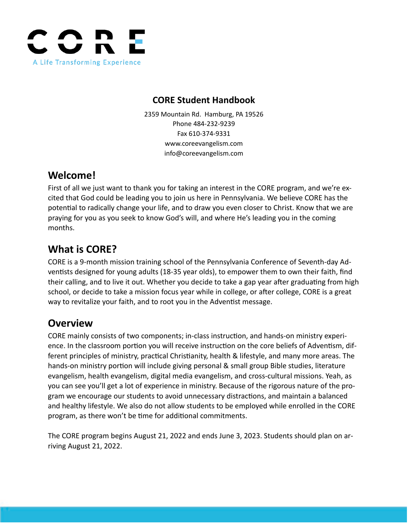

# **CORE Student Handbook**

2359 Mountain Rd. Hamburg, PA 19526 Phone 484-232-9239 Fax 610-374-9331 www.coreevangelism.com info@coreevangelism.com

# **Welcome!**

First of all we just want to thank you for taking an interest in the CORE program, and we're excited that God could be leading you to join us here in Pennsylvania. We believe CORE has the potential to radically change your life, and to draw you even closer to Christ. Know that we are praying for you as you seek to know God's will, and where He's leading you in the coming months.

# **What is CORE?**

CORE is a 9-month mission training school of the Pennsylvania Conference of Seventh-day Adventists designed for young adults (18-35 year olds), to empower them to own their faith, find their calling, and to live it out. Whether you decide to take a gap year after graduating from high school, or decide to take a mission focus year while in college, or after college, CORE is a great way to revitalize your faith, and to root you in the Adventist message.

# **Overview**

CORE mainly consists of two components; in-class instruction, and hands-on ministry experience. In the classroom portion you will receive instruction on the core beliefs of Adventism, different principles of ministry, practical Christianity, health & lifestyle, and many more areas. The hands-on ministry portion will include giving personal & small group Bible studies, literature evangelism, health evangelism, digital media evangelism, and cross-cultural missions. Yeah, as you can see you'll get a lot of experience in ministry. Because of the rigorous nature of the program we encourage our students to avoid unnecessary distractions, and maintain a balanced and healthy lifestyle. We also do not allow students to be employed while enrolled in the CORE program, as there won't be time for additional commitments.

The CORE program begins August 21, 2022 and ends June 3, 2023. Students should plan on arriving August 21, 2022.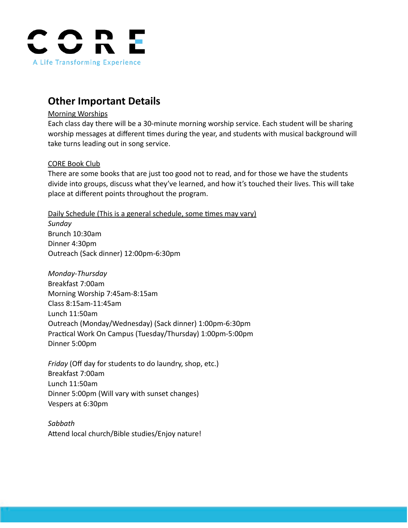

# **Other Important Details**

### Morning Worships

Each class day there will be a 30-minute morning worship service. Each student will be sharing worship messages at different times during the year, and students with musical background will take turns leading out in song service.

# CORE Book Club

There are some books that are just too good not to read, and for those we have the students divide into groups, discuss what they've learned, and how it's touched their lives. This will take place at different points throughout the program.

Daily Schedule (This is a general schedule, some times may vary) *Sunday*

Brunch 10:30am Dinner 4:30pm Outreach (Sack dinner) 12:00pm-6:30pm

*Monday-Thursday* Breakfast 7:00am Morning Worship 7:45am-8:15am Class 8:15am-11:45am Lunch 11:50am Outreach (Monday/Wednesday) (Sack dinner) 1:00pm-6:30pm Practical Work On Campus (Tuesday/Thursday) 1:00pm-5:00pm Dinner 5:00pm

*Friday* (Off day for students to do laundry, shop, etc.) Breakfast 7:00am Lunch 11:50am Dinner 5:00pm (Will vary with sunset changes) Vespers at 6:30pm

*Sabbath* Attend local church/Bible studies/Enjoy nature!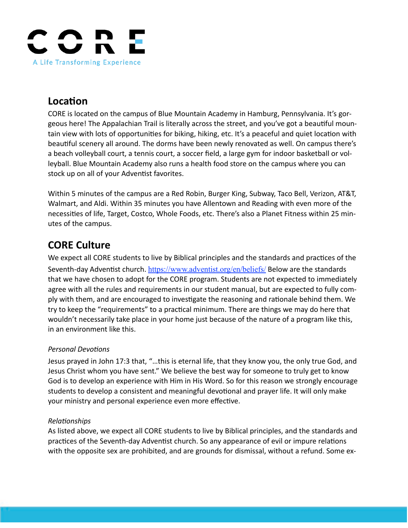

# **Location**

CORE is located on the campus of Blue Mountain Academy in Hamburg, Pennsylvania. It's gorgeous here! The Appalachian Trail is literally across the street, and you've got a beautiful mountain view with lots of opportunities for biking, hiking, etc. It's a peaceful and quiet location with beautiful scenery all around. The dorms have been newly renovated as well. On campus there's a beach volleyball court, a tennis court, a soccer field, a large gym for indoor basketball or volleyball. Blue Mountain Academy also runs a health food store on the campus where you can stock up on all of your Adventist favorites.

Within 5 minutes of the campus are a Red Robin, Burger King, Subway, Taco Bell, Verizon, AT&T, Walmart, and Aldi. Within 35 minutes you have Allentown and Reading with even more of the necessities of life, Target, Costco, Whole Foods, etc. There's also a Planet Fitness within 25 minutes of the campus.

# **CORE Culture**

We expect all CORE students to live by Biblical principles and the standards and practices of the Seventh-day Adventist church. <https://www.adventist.org/en/beliefs/> Below are the standards that we have chosen to adopt for the CORE program. Students are not expected to immediately agree with all the rules and requirements in our student manual, but are expected to fully comply with them, and are encouraged to investigate the reasoning and rationale behind them. We try to keep the "requirements" to a practical minimum. There are things we may do here that wouldn't necessarily take place in your home just because of the nature of a program like this, in an environment like this.

# *Personal Devotions*

Jesus prayed in John 17:3 that, "…this is eternal life, that they know you, the only true God, and Jesus Christ whom you have sent." We believe the best way for someone to truly get to know God is to develop an experience with Him in His Word. So for this reason we strongly encourage students to develop a consistent and meaningful devotional and prayer life. It will only make your ministry and personal experience even more effective.

# *Relationships*

As listed above, we expect all CORE students to live by Biblical principles, and the standards and practices of the Seventh-day Adventist church. So any appearance of evil or impure relations with the opposite sex are prohibited, and are grounds for dismissal, without a refund. Some ex-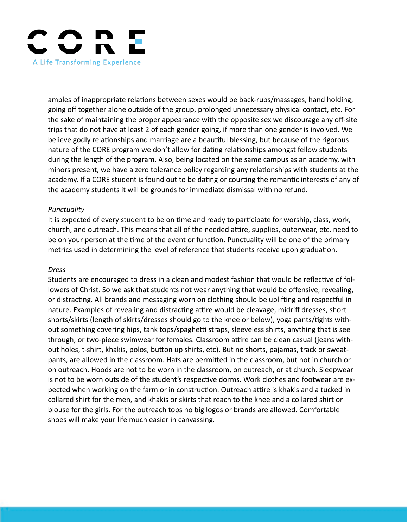

amples of inappropriate relations between sexes would be back-rubs/massages, hand holding, going off together alone outside of the group, prolonged unnecessary physical contact, etc. For the sake of maintaining the proper appearance with the opposite sex we discourage any off-site trips that do not have at least 2 of each gender going, if more than one gender is involved. We believe godly relationships and marriage are a beautiful blessing, but because of the rigorous nature of the CORE program we don't allow for dating relationships amongst fellow students during the length of the program. Also, being located on the same campus as an academy, with minors present, we have a zero tolerance policy regarding any relationships with students at the academy. If a CORE student is found out to be dating or courting the romantic interests of any of the academy students it will be grounds for immediate dismissal with no refund.

#### *Punctuality*

It is expected of every student to be on time and ready to participate for worship, class, work, church, and outreach. This means that all of the needed attire, supplies, outerwear, etc. need to be on your person at the time of the event or function. Punctuality will be one of the primary metrics used in determining the level of reference that students receive upon graduation.

#### *Dress*

Students are encouraged to dress in a clean and modest fashion that would be reflective of followers of Christ. So we ask that students not wear anything that would be offensive, revealing, or distracting. All brands and messaging worn on clothing should be uplifting and respectful in nature. Examples of revealing and distracting attire would be cleavage, midriff dresses, short shorts/skirts (length of skirts/dresses should go to the knee or below), yoga pants/tights without something covering hips, tank tops/spaghetti straps, sleeveless shirts, anything that is see through, or two-piece swimwear for females. Classroom attire can be clean casual (jeans without holes, t-shirt, khakis, polos, button up shirts, etc). But no shorts, pajamas, track or sweatpants, are allowed in the classroom. Hats are permitted in the classroom, but not in church or on outreach. Hoods are not to be worn in the classroom, on outreach, or at church. Sleepwear is not to be worn outside of the student's respective dorms. Work clothes and footwear are expected when working on the farm or in construction. Outreach attire is khakis and a tucked in collared shirt for the men, and khakis or skirts that reach to the knee and a collared shirt or blouse for the girls. For the outreach tops no big logos or brands are allowed. Comfortable shoes will make your life much easier in canvassing.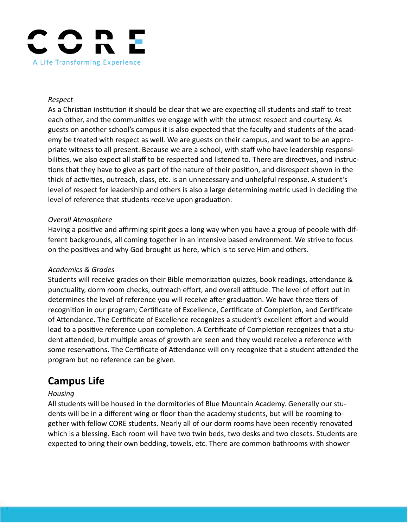

#### *Respect*

As a Christian institution it should be clear that we are expecting all students and staff to treat each other, and the communities we engage with with the utmost respect and courtesy. As guests on another school's campus it is also expected that the faculty and students of the academy be treated with respect as well. We are guests on their campus, and want to be an appropriate witness to all present. Because we are a school, with staff who have leadership responsibilities, we also expect all staff to be respected and listened to. There are directives, and instructions that they have to give as part of the nature of their position, and disrespect shown in the thick of activities, outreach, class, etc. is an unnecessary and unhelpful response. A student's level of respect for leadership and others is also a large determining metric used in deciding the level of reference that students receive upon graduation.

#### *Overall Atmosphere*

Having a positive and affirming spirit goes a long way when you have a group of people with different backgrounds, all coming together in an intensive based environment. We strive to focus on the positives and why God brought us here, which is to serve Him and others.

#### *Academics & Grades*

Students will receive grades on their Bible memorization quizzes, book readings, attendance & punctuality, dorm room checks, outreach effort, and overall attitude. The level of effort put in determines the level of reference you will receive after graduation. We have three tiers of recognition in our program; Certificate of Excellence, Certificate of Completion, and Certificate of Attendance. The Certificate of Excellence recognizes a student's excellent effort and would lead to a positive reference upon completion. A Certificate of Completion recognizes that a student attended, but multiple areas of growth are seen and they would receive a reference with some reservations. The Certificate of Attendance will only recognize that a student attended the program but no reference can be given.

# **Campus Life**

#### *Housing*

All students will be housed in the dormitories of Blue Mountain Academy. Generally our students will be in a different wing or floor than the academy students, but will be rooming together with fellow CORE students. Nearly all of our dorm rooms have been recently renovated which is a blessing. Each room will have two twin beds, two desks and two closets. Students are expected to bring their own bedding, towels, etc. There are common bathrooms with shower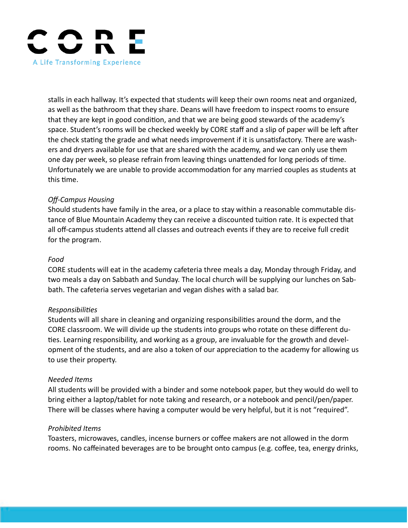

stalls in each hallway. It's expected that students will keep their own rooms neat and organized, as well as the bathroom that they share. Deans will have freedom to inspect rooms to ensure that they are kept in good condition, and that we are being good stewards of the academy's space. Student's rooms will be checked weekly by CORE staff and a slip of paper will be left after the check stating the grade and what needs improvement if it is unsatisfactory. There are washers and dryers available for use that are shared with the academy, and we can only use them one day per week, so please refrain from leaving things unattended for long periods of time. Unfortunately we are unable to provide accommodation for any married couples as students at this time.

### *Off-Campus Housing*

Should students have family in the area, or a place to stay within a reasonable commutable distance of Blue Mountain Academy they can receive a discounted tuition rate. It is expected that all off-campus students attend all classes and outreach events if they are to receive full credit for the program.

#### *Food*

CORE students will eat in the academy cafeteria three meals a day, Monday through Friday, and two meals a day on Sabbath and Sunday. The local church will be supplying our lunches on Sabbath. The cafeteria serves vegetarian and vegan dishes with a salad bar.

#### *Responsibilities*

Students will all share in cleaning and organizing responsibilities around the dorm, and the CORE classroom. We will divide up the students into groups who rotate on these different duties. Learning responsibility, and working as a group, are invaluable for the growth and development of the students, and are also a token of our appreciation to the academy for allowing us to use their property.

#### *Needed Items*

All students will be provided with a binder and some notebook paper, but they would do well to bring either a laptop/tablet for note taking and research, or a notebook and pencil/pen/paper. There will be classes where having a computer would be very helpful, but it is not "required".

#### *Prohibited Items*

Toasters, microwaves, candles, incense burners or coffee makers are not allowed in the dorm rooms. No caffeinated beverages are to be brought onto campus (e.g. coffee, tea, energy drinks,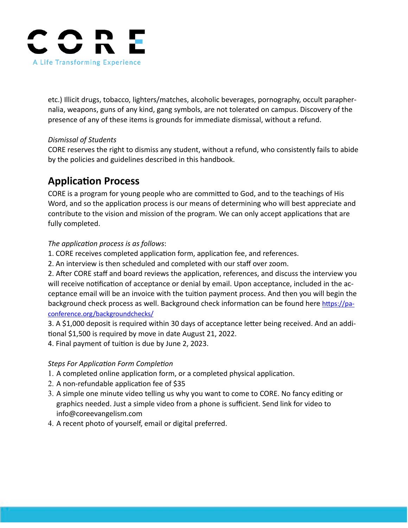

etc.) Illicit drugs, tobacco, lighters/matches, alcoholic beverages, pornography, occult paraphernalia, weapons, guns of any kind, gang symbols, are not tolerated on campus. Discovery of the presence of any of these items is grounds for immediate dismissal, without a refund.

### *Dismissal of Students*

CORE reserves the right to dismiss any student, without a refund, who consistently fails to abide by the policies and guidelines described in this handbook.

# **Application Process**

CORE is a program for young people who are committed to God, and to the teachings of His Word, and so the application process is our means of determining who will best appreciate and contribute to the vision and mission of the program. We can only accept applications that are fully completed.

### *The application process is as follows*:

- 1. CORE receives completed application form, application fee, and references.
- 2. An interview is then scheduled and completed with our staff over zoom.

2. After CORE staff and board reviews the application, references, and discuss the interview you will receive notification of acceptance or denial by email. Upon acceptance, included in the acceptance email will be an invoice with the tuition payment process. And then you will begin the background check process as well. Background check information can be found here [https://pa](https://paconference.org/backgroundchecks/)[conference.org/backgroundchecks/](https://paconference.org/backgroundchecks/)

3. A \$1,000 deposit is required within 30 days of acceptance letter being received. And an additional \$1,500 is required by move in date August 21, 2022.

4. Final payment of tuition is due by June 2, 2023.

# *Steps For Application Form Completion*

- 1. A completed online application form, or a completed physical application.
- 2. A non-refundable application fee of \$35
- 3. A simple one minute video telling us why you want to come to CORE. No fancy editing or graphics needed. Just a simple video from a phone is sufficient. Send link for video to info@coreevangelism.com
- 4. A recent photo of yourself, email or digital preferred.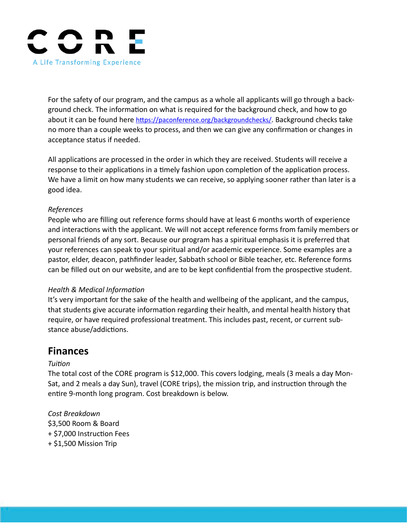

For the safety of our program, and the campus as a whole all applicants will go through a background check. The information on what is required for the background check, and how to go about it can be found here [https://paconference.org/backgroundchecks/.](https://paconference.org/backgroundchecks/) Background checks take no more than a couple weeks to process, and then we can give any confirmation or changes in acceptance status if needed.

All applications are processed in the order in which they are received. Students will receive a response to their applications in a timely fashion upon completion of the application process. We have a limit on how many students we can receive, so applying sooner rather than later is a good idea.

### *References*

People who are filling out reference forms should have at least 6 months worth of experience and interactions with the applicant. We will not accept reference forms from family members or personal friends of any sort. Because our program has a spiritual emphasis it is preferred that your references can speak to your spiritual and/or academic experience. Some examples are a pastor, elder, deacon, pathfinder leader, Sabbath school or Bible teacher, etc. Reference forms can be filled out on our website, and are to be kept confidential from the prospective student.

#### *Health & Medical Information*

It's very important for the sake of the health and wellbeing of the applicant, and the campus, that students give accurate information regarding their health, and mental health history that require, or have required professional treatment. This includes past, recent, or current substance abuse/addictions.

# **Finances**

# *Tuition*

The total cost of the CORE program is \$12,000. This covers lodging, meals (3 meals a day Mon-Sat, and 2 meals a day Sun), travel (CORE trips), the mission trip, and instruction through the entire 9-month long program. Cost breakdown is below.

*Cost Breakdown* \$3,500 Room & Board + \$7,000 Instruction Fees + \$1,500 Mission Trip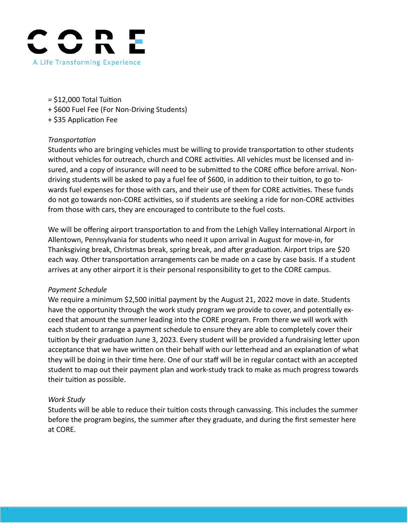

- *=* \$12,000 Total Tuition
- + \$600 Fuel Fee (For Non-Driving Students)
- + \$35 Application Fee

#### *Transportation*

Students who are bringing vehicles must be willing to provide transportation to other students without vehicles for outreach, church and CORE activities. All vehicles must be licensed and insured, and a copy of insurance will need to be submitted to the CORE office before arrival. Nondriving students will be asked to pay a fuel fee of \$600, in addition to their tuition, to go towards fuel expenses for those with cars, and their use of them for CORE activities. These funds do not go towards non-CORE activities, so if students are seeking a ride for non-CORE activities from those with cars, they are encouraged to contribute to the fuel costs.

We will be offering airport transportation to and from the Lehigh Valley International Airport in Allentown, Pennsylvania for students who need it upon arrival in August for move-in, for Thanksgiving break, Christmas break, spring break, and after graduation. Airport trips are \$20 each way. Other transportation arrangements can be made on a case by case basis. If a student arrives at any other airport it is their personal responsibility to get to the CORE campus.

#### *Payment Schedule*

We require a minimum \$2,500 initial payment by the August 21, 2022 move in date. Students have the opportunity through the work study program we provide to cover, and potentially exceed that amount the summer leading into the CORE program. From there we will work with each student to arrange a payment schedule to ensure they are able to completely cover their tuition by their graduation June 3, 2023. Every student will be provided a fundraising letter upon acceptance that we have written on their behalf with our letterhead and an explanation of what they will be doing in their time here. One of our staff will be in regular contact with an accepted student to map out their payment plan and work-study track to make as much progress towards their tuition as possible.

#### *Work Study*

Students will be able to reduce their tuition costs through canvassing. This includes the summer before the program begins, the summer after they graduate, and during the first semester here at CORE.